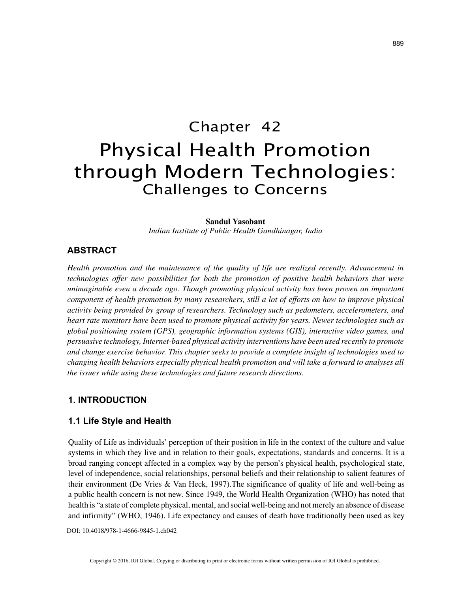# Chapter 42 Physical Health Promotion through Modern Technologies: Challenges to Concerns

#### **Sandul Yasobant**

*Indian Institute of Public Health Gandhinagar, India*

# **ABSTRACT**

*Health promotion and the maintenance of the quality of life are realized recently. Advancement in technologies offer new possibilities for both the promotion of positive health behaviors that were unimaginable even a decade ago. Though promoting physical activity has been proven an important component of health promotion by many researchers, still a lot of efforts on how to improve physical activity being provided by group of researchers. Technology such as pedometers, accelerometers, and heart rate monitors have been used to promote physical activity for years. Newer technologies such as global positioning system (GPS), geographic information systems (GIS), interactive video games, and persuasive technology, Internet-based physical activity interventions have been used recently to promote and change exercise behavior. This chapter seeks to provide a complete insight of technologies used to changing health behaviors especially physical health promotion and will take a forward to analyses all the issues while using these technologies and future research directions.*

# **1. INTRODUCTION**

## **1.1 Life Style and Health**

Quality of Life as individuals' perception of their position in life in the context of the culture and value systems in which they live and in relation to their goals, expectations, standards and concerns. It is a broad ranging concept affected in a complex way by the person's physical health, psychological state, level of independence, social relationships, personal beliefs and their relationship to salient features of their environment (De Vries & Van Heck, 1997).The significance of quality of life and well-being as a public health concern is not new. Since 1949, the World Health Organization (WHO) has noted that health is "a state of complete physical, mental, and social well-being and not merely an absence of disease and infirmity" (WHO, 1946). Life expectancy and causes of death have traditionally been used as key

DOI: 10.4018/978-1-4666-9845-1.ch042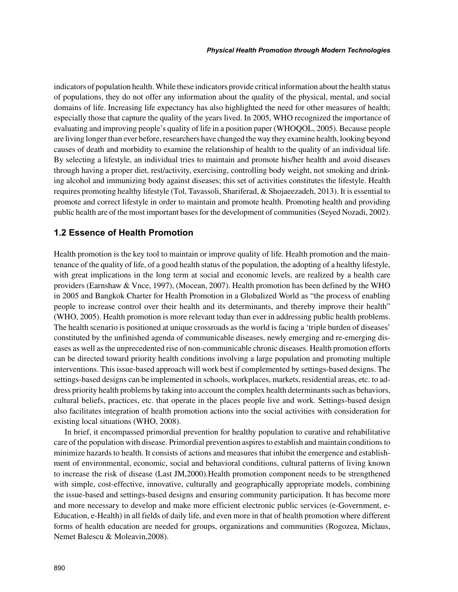indicators of population health. While these indicators provide critical information about the health status of populations, they do not offer any information about the quality of the physical, mental, and social domains of life. Increasing life expectancy has also highlighted the need for other measures of health; especially those that capture the quality of the years lived. In 2005, WHO recognized the importance of evaluating and improving people's quality of life in a position paper (WHOQOL, 2005). Because people are living longer than ever before, researchers have changed the way they examine health, looking beyond causes of death and morbidity to examine the relationship of health to the quality of an individual life. By selecting a lifestyle, an individual tries to maintain and promote his/her health and avoid diseases through having a proper diet, rest/activity, exercising, controlling body weight, not smoking and drinking alcohol and immunizing body against diseases; this set of activities constitutes the lifestyle. Health requires promoting healthy lifestyle (Tol, Tavassoli, Shariferad, & Shojaeezadeh, 2013). It is essential to promote and correct lifestyle in order to maintain and promote health. Promoting health and providing public health are of the most important bases for the development of communities (Seyed Nozadi, 2002).

## **1.2 Essence of Health Promotion**

Health promotion is the key tool to maintain or improve quality of life. Health promotion and the maintenance of the quality of life, of a good health status of the population, the adopting of a healthy lifestyle, with great implications in the long term at social and economic levels, are realized by a health care providers (Earnshaw & Vnce, 1997), (Mocean, 2007). Health promotion has been defined by the WHO in 2005 and Bangkok Charter for Health Promotion in a Globalized World as "the process of enabling people to increase control over their health and its determinants, and thereby improve their health" (WHO, 2005). Health promotion is more relevant today than ever in addressing public health problems. The health scenario is positioned at unique crossroads as the world is facing a 'triple burden of diseases' constituted by the unfinished agenda of communicable diseases, newly emerging and re-emerging diseases as well as the unprecedented rise of non-communicable chronic diseases. Health promotion efforts can be directed toward priority health conditions involving a large population and promoting multiple interventions. This issue-based approach will work best if complemented by settings-based designs. The settings-based designs can be implemented in schools, workplaces, markets, residential areas, etc. to address priority health problems by taking into account the complex health determinants such as behaviors, cultural beliefs, practices, etc. that operate in the places people live and work. Settings-based design also facilitates integration of health promotion actions into the social activities with consideration for existing local situations (WHO, 2008).

In brief, it encompassed primordial prevention for healthy population to curative and rehabilitative care of the population with disease. Primordial prevention aspires to establish and maintain conditions to minimize hazards to health. It consists of actions and measures that inhibit the emergence and establishment of environmental, economic, social and behavioral conditions, cultural patterns of living known to increase the risk of disease (Last JM,2000).Health promotion component needs to be strengthened with simple, cost-effective, innovative, culturally and geographically appropriate models, combining the issue-based and settings-based designs and ensuring community participation. It has become more and more necessary to develop and make more efficient electronic public services (e-Government, e-Education, e-Health) in all fields of daily life, and even more in that of health promotion where different forms of health education are needed for groups, organizations and communities (Rogozea, Miclaus, Nemet Balescu & Moleavin,2008).